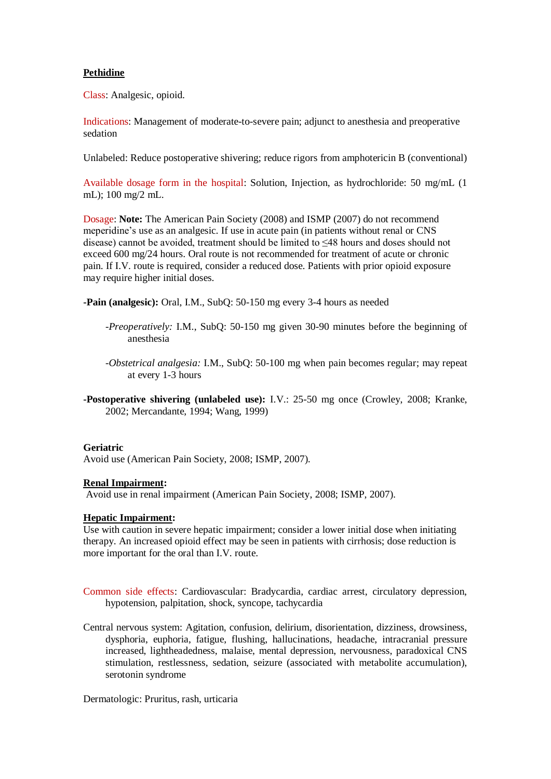## **Pethidine**

Class: Analgesic, opioid.

Indications: Management of moderate-to-severe pain; adjunct to anesthesia and preoperative sedation

Unlabeled: Reduce postoperative shivering; reduce rigors from amphotericin B (conventional)

Available dosage form in the hospital: Solution, Injection, as hydrochloride: 50 mg/mL (1 mL); 100 mg/2 mL.

Dosage: **Note:** The American Pain Society (2008) and ISMP (2007) do not recommend meperidine's use as an analgesic. If use in acute pain (in patients without renal or CNS disease) cannot be avoided, treatment should be limited to ≤48 hours and doses should not exceed 600 mg/24 hours. Oral route is not recommended for treatment of acute or chronic pain. If I.V. route is required, consider a reduced dose. Patients with prior opioid exposure may require higher initial doses.

**-Pain (analgesic):** Oral, I.M., SubQ: 50-150 mg every 3-4 hours as needed

- *-Preoperatively:* I.M., SubQ: 50-150 mg given 30-90 minutes before the beginning of anesthesia
- *-Obstetrical analgesia:* I.M., SubQ: 50-100 mg when pain becomes regular; may repeat at every 1-3 hours
- **-Postoperative shivering (unlabeled use):** I.V.: 25-50 mg once (Crowley, 2008; Kranke, 2002; Mercandante, 1994; Wang, 1999)

## **Geriatric**

Avoid use (American Pain Society, 2008; ISMP, 2007).

## **Renal Impairment:**

Avoid use in renal impairment (American Pain Society, 2008; ISMP, 2007).

## **Hepatic Impairment:**

Use with caution in severe hepatic impairment; consider a lower initial dose when initiating therapy. An increased opioid effect may be seen in patients with cirrhosis; dose reduction is more important for the oral than I.V. route.

- Common side effects: Cardiovascular: Bradycardia, cardiac arrest, circulatory depression, hypotension, palpitation, shock, syncope, tachycardia
- Central nervous system: Agitation, confusion, delirium, disorientation, dizziness, drowsiness, dysphoria, euphoria, fatigue, flushing, hallucinations, headache, intracranial pressure increased, lightheadedness, malaise, mental depression, nervousness, paradoxical CNS stimulation, restlessness, sedation, seizure (associated with metabolite accumulation), serotonin syndrome

Dermatologic: Pruritus, rash, urticaria